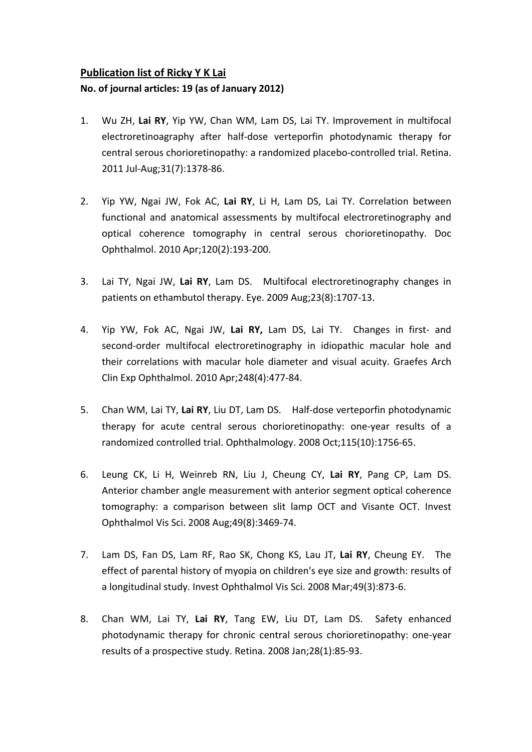## **Publication list of Ricky Y K Lai No. of journal articles: 19 (as of January 2012)**

- 1. Wu ZH, **Lai RY**, Yip YW, Chan WM, Lam DS, Lai TY. [Improvement](http://www.ncbi.nlm.nih.gov/pubmed/21836413) in multifocal [electroretinoagraphy](http://www.ncbi.nlm.nih.gov/pubmed/21836413) after half‐dose verteporfin photodynamic therapy for central serous [chorioretinopathy:](http://www.ncbi.nlm.nih.gov/pubmed/21836413) a randomized placebo‐controlled trial. Retina. 2011 Jul‐Aug;31(7):1378‐86.
- 2. Yip YW, Ngai JW, Fok AC, **Lai RY**, Li H, Lam DS, Lai TY. [Correlation](http://www.ncbi.nlm.nih.gov/pubmed/20066472) between functional and anatomical assessments by multifocal [electroretinography](http://www.ncbi.nlm.nih.gov/pubmed/20066472) and optical coherence tomography in central serous [chorioretinopathy.](http://www.ncbi.nlm.nih.gov/pubmed/20066472) Doc Ophthalmol. 2010 Apr;120(2):193‐200.
- 3. Lai TY, Ngai JW, **Lai RY**, Lam DS. Multifocal [electroretinography](http://www.ncbi.nlm.nih.gov/pubmed/19675572?ordinalpos=2&itool=EntrezSystem2.PEntrez.Pubmed.Pubmed_ResultsPanel.Pubmed_DefaultReportPanel.Pubmed_RVDocSum) changes in patients on [ethambutol](http://www.ncbi.nlm.nih.gov/pubmed/19675572?ordinalpos=2&itool=EntrezSystem2.PEntrez.Pubmed.Pubmed_ResultsPanel.Pubmed_DefaultReportPanel.Pubmed_RVDocSum) therapy. Eye. 2009 Aug;23(8):1707‐13.
- 4. Yip YW, Fok AC, Ngai JW, **Lai RY,** Lam DS, Lai TY. [Changes](http://www.ncbi.nlm.nih.gov/pubmed/19672613?ordinalpos=3&itool=EntrezSystem2.PEntrez.Pubmed.Pubmed_ResultsPanel.Pubmed_DefaultReportPanel.Pubmed_RVDocSum) in first‐ and second-order multifocal [electroretinography](http://www.ncbi.nlm.nih.gov/pubmed/19672613?ordinalpos=3&itool=EntrezSystem2.PEntrez.Pubmed.Pubmed_ResultsPanel.Pubmed_DefaultReportPanel.Pubmed_RVDocSum) in idiopathic macular hole and their [correlations](http://www.ncbi.nlm.nih.gov/pubmed/19672613?ordinalpos=3&itool=EntrezSystem2.PEntrez.Pubmed.Pubmed_ResultsPanel.Pubmed_DefaultReportPanel.Pubmed_RVDocSum) with macular hole diameter and visual acuity. Graefes Arch Clin Exp Ophthalmol. 2010 Apr;248(4):477‐84.
- 5. Chan WM, Lai TY, **Lai RY**, Liu DT, Lam DS. Half‐dose verteporfin [photodynamic](http://www.ncbi.nlm.nih.gov/pubmed/18538401?ordinalpos=3&itool=EntrezSystem2.PEntrez.Pubmed.Pubmed_ResultsPanel.Pubmed_DefaultReportPanel.Pubmed_RVDocSum) therapy for acute central serous [chorioretinopathy:](http://www.ncbi.nlm.nih.gov/pubmed/18538401?ordinalpos=3&itool=EntrezSystem2.PEntrez.Pubmed.Pubmed_ResultsPanel.Pubmed_DefaultReportPanel.Pubmed_RVDocSum) one‐year results of a [randomized](http://www.ncbi.nlm.nih.gov/pubmed/18538401?ordinalpos=3&itool=EntrezSystem2.PEntrez.Pubmed.Pubmed_ResultsPanel.Pubmed_DefaultReportPanel.Pubmed_RVDocSum) controlled trial. Ophthalmology. 2008 Oct;115(10):1756‐65.
- 6. Leung CK, Li H, Weinreb RN, Liu J, Cheung CY, **Lai RY**, Pang CP, Lam DS. Anterior chamber angle [measurement](http://www.ncbi.nlm.nih.gov/pubmed/18408181?ordinalpos=4&itool=EntrezSystem2.PEntrez.Pubmed.Pubmed_ResultsPanel.Pubmed_DefaultReportPanel.Pubmed_RVDocSum) with anterior segment optical coherence [tomography:](http://www.ncbi.nlm.nih.gov/pubmed/18408181?ordinalpos=4&itool=EntrezSystem2.PEntrez.Pubmed.Pubmed_ResultsPanel.Pubmed_DefaultReportPanel.Pubmed_RVDocSum) a comparison between slit lamp OCT and Visante OCT. Invest Ophthalmol Vis Sci. 2008 Aug;49(8):3469‐74.
- 7. Lam DS, Fan DS, Lam RF, Rao SK, Chong KS, Lau JT, **Lai RY**, Cheung EY. [The](http://www.ncbi.nlm.nih.gov/pubmed/18326705?ordinalpos=5&itool=EntrezSystem2.PEntrez.Pubmed.Pubmed_ResultsPanel.Pubmed_DefaultReportPanel.Pubmed_RVDocSum) effect of parental history of myopia on [children's](http://www.ncbi.nlm.nih.gov/pubmed/18326705?ordinalpos=5&itool=EntrezSystem2.PEntrez.Pubmed.Pubmed_ResultsPanel.Pubmed_DefaultReportPanel.Pubmed_RVDocSum) eye size and growth: results of a [longitudinal](http://www.ncbi.nlm.nih.gov/pubmed/18326705?ordinalpos=5&itool=EntrezSystem2.PEntrez.Pubmed.Pubmed_ResultsPanel.Pubmed_DefaultReportPanel.Pubmed_RVDocSum) study. Invest Ophthalmol Vis Sci. 2008 Mar;49(3):873‐6.
- 8. Chan WM, Lai TY, **Lai RY**, Tang EW, Liu DT, Lam DS. Safety [enhanced](http://www.ncbi.nlm.nih.gov/pubmed/18185143?ordinalpos=6&itool=EntrezSystem2.PEntrez.Pubmed.Pubmed_ResultsPanel.Pubmed_DefaultReportPanel.Pubmed_RVDocSum) photodynamic therapy for chronic central serous [chorioretinopathy:](http://www.ncbi.nlm.nih.gov/pubmed/18185143?ordinalpos=6&itool=EntrezSystem2.PEntrez.Pubmed.Pubmed_ResultsPanel.Pubmed_DefaultReportPanel.Pubmed_RVDocSum) one‐year results of a [prospective](http://www.ncbi.nlm.nih.gov/pubmed/18185143?ordinalpos=6&itool=EntrezSystem2.PEntrez.Pubmed.Pubmed_ResultsPanel.Pubmed_DefaultReportPanel.Pubmed_RVDocSum) study. Retina. 2008 Jan;28(1):85‐93.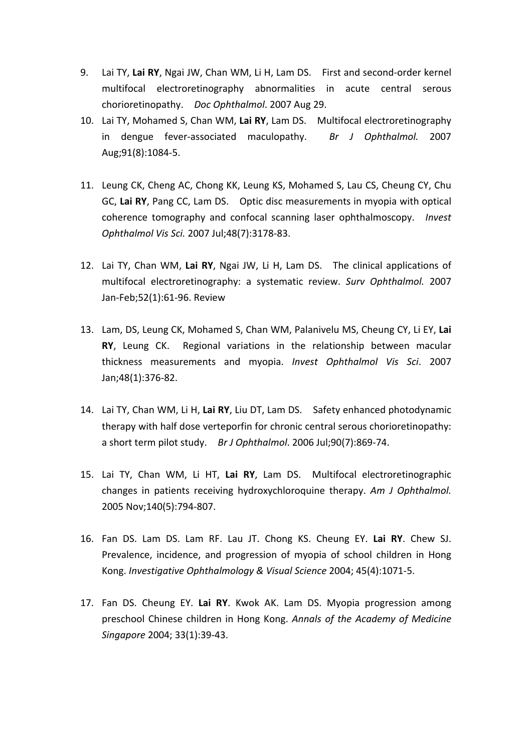- 9. Lai TY, **Lai RY**, Ngai JW, Chan WM, Li H, Lam DS. First and second‐order kernel multifocal electroretinography abnormalities in acute central serous chorioretinopathy. *Doc Ophthalmol*. 2007 Aug 29.
- 10. Lai TY, Mohamed S, Chan WM, **Lai RY**, Lam DS. Multifocal electroretinography in dengue fever‐associated maculopathy. *Br J Ophthalmol.* 2007 Aug;91(8):1084‐5.
- 11. Leung CK, Cheng AC, Chong KK, Leung KS, [Mohamed](http://www.ncbi.nlm.nih.gov/sites/entrez?Db=pubmed&Cmd=ShowDetailView&TermToSearch=17591887&ordinalpos=5&itool=EntrezSystem2.PEntrez.Pubmed.Pubmed_ResultsPanel.Pubmed_RVDocSum) S, Lau CS, Cheung CY, Chu GC, **Lai RY**, [Pang](http://www.ncbi.nlm.nih.gov/sites/entrez?Db=pubmed&Cmd=ShowDetailView&TermToSearch=17591887&ordinalpos=5&itool=EntrezSystem2.PEntrez.Pubmed.Pubmed_ResultsPanel.Pubmed_RVDocSum) CC, Lam DS. Optic disc measurements in myopia with optical coherence tomography and confocal scanning laser ophthalmoscopy. *Invest Ophthalmol Vis Sci.* 2007 Jul;48(7):3178‐83.
- 12. Lai TY, Chan WM, **Lai RY**, Ngai JW, Li H, Lam DS. The clinical applications of multifocal electroretinography: a systematic review. *Surv Ophthalmol.* 2007 Jan‐Feb;52(1):61‐96. Review
- 13. Lam, DS, Leung CK, Mohamed S, Chan WM, Palanivelu MS, Cheung CY, Li EY, **Lai RY**, Leung CK. Regional variations in the relationship between macular thickness measurements and myopia. *Invest Ophthalmol Vis Sci*. 2007 Jan;48(1):376‐82.
- 14. Lai TY, Chan WM, Li H, **Lai RY**, Liu DT, Lam DS. Safety enhanced photodynamic therapy with half dose verteporfin for chronic central serous chorioretinopathy: a short term pilot study. *Br J Ophthalmol*. 2006 Jul;90(7):869‐74.
- 15. Lai TY, Chan WM, Li HT, **Lai RY**, Lam DS. Multifocal electroretinographic changes in patients receiving hydroxychloroquine therapy. *Am J Ophthalmol.* 2005 Nov;140(5):794‐807.
- 16. Fan DS. Lam DS. Lam RF. Lau JT. Chong KS. Cheung EY. **Lai RY**. Chew SJ. Prevalence, incidence, and progression of myopia of school children in Hong Kong. *Investigative Ophthalmology & Visual Science* 2004; 45(4):1071‐5.
- 17. Fan DS. Cheung EY. **Lai RY**. Kwok AK. Lam DS. Myopia progression among preschool Chinese children in Hong Kong. *Annals of the Academy of Medicine Singapore* 2004; 33(1):39‐43.